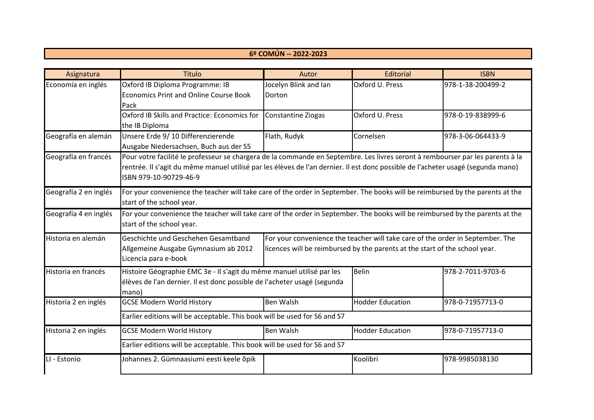## **6º COMÚN -- 2022-2023**

| Asignatura            | Título                                                                                                                           | Autor                 | Editorial                                                                      | <b>ISBN</b>       |  |
|-----------------------|----------------------------------------------------------------------------------------------------------------------------------|-----------------------|--------------------------------------------------------------------------------|-------------------|--|
| Economía en inglés    | Oxford IB Diploma Programme: IB                                                                                                  | Jocelyn Blink and Ian | Oxford U. Press                                                                | 978-1-38-200499-2 |  |
|                       | <b>Economics Print and Online Course Book</b>                                                                                    | Dorton                |                                                                                |                   |  |
|                       | Pack                                                                                                                             |                       |                                                                                |                   |  |
|                       | Oxford IB Skills and Practice: Economics for                                                                                     | Constantine Ziogas    | Oxford U. Press                                                                | 978-0-19-838999-6 |  |
|                       | the IB Diploma                                                                                                                   |                       |                                                                                |                   |  |
| Geografía en alemán   | Unsere Erde 9/10 Differenzierende                                                                                                | Flath, Rudyk          | Cornelsen                                                                      | 978-3-06-064433-9 |  |
|                       | Ausgabe Niedersachsen, Buch aus der S5                                                                                           |                       |                                                                                |                   |  |
| Geografía en francés  | Pour votre facilité le professeur se chargera de la commande en Septembre. Les livres seront à rembourser par les parents à la   |                       |                                                                                |                   |  |
|                       | rentrée. Il s'agit du même manuel utilisé par les élèves de l'an dernier. Il est donc possible de l'acheter usagé (segunda mano) |                       |                                                                                |                   |  |
|                       | ISBN 979-10-90729-46-9                                                                                                           |                       |                                                                                |                   |  |
| Geografía 2 en inglés | For your convenience the teacher will take care of the order in September. The books will be reimbursed by the parents at the    |                       |                                                                                |                   |  |
|                       | start of the school year.                                                                                                        |                       |                                                                                |                   |  |
| Geografía 4 en inglés | For your convenience the teacher will take care of the order in September. The books will be reimbursed by the parents at the    |                       |                                                                                |                   |  |
|                       | start of the school year.                                                                                                        |                       |                                                                                |                   |  |
| Historia en alemán    | Geschichte und Geschehen Gesamtband                                                                                              |                       | For your convenience the teacher will take care of the order in September. The |                   |  |
|                       | Allgemeine Ausgabe Gymnasium ab 2012                                                                                             |                       | licences will be reimbursed by the parents at the start of the school year.    |                   |  |
|                       | Licencia para e-book                                                                                                             |                       |                                                                                |                   |  |
| Historia en francés   | Histoire Géographie EMC 3e - Il s'agit du même manuel utilisé par les                                                            |                       | <b>Belin</b>                                                                   | 978-2-7011-9703-6 |  |
|                       | élèves de l'an dernier. Il est donc possible de l'acheter usagé (segunda                                                         |                       |                                                                                |                   |  |
|                       | mano)                                                                                                                            |                       |                                                                                |                   |  |
| Historia 2 en inglés  | <b>GCSE Modern World History</b>                                                                                                 | <b>Ben Walsh</b>      | <b>Hodder Education</b>                                                        | 978-0-71957713-0  |  |
|                       | Earlier editions will be acceptable. This book will be used for S6 and S7                                                        |                       |                                                                                |                   |  |
| Historia 2 en inglés  | <b>GCSE Modern World History</b>                                                                                                 | <b>Ben Walsh</b>      | <b>Hodder Education</b>                                                        | 978-0-71957713-0  |  |
|                       | Earlier editions will be acceptable. This book will be used for S6 and S7                                                        |                       |                                                                                |                   |  |
| LI - Estonio          | Johannes 2. Gümnaasiumi eesti keele õpik                                                                                         |                       | Koolibri                                                                       | 978-9985038130    |  |
|                       |                                                                                                                                  |                       |                                                                                |                   |  |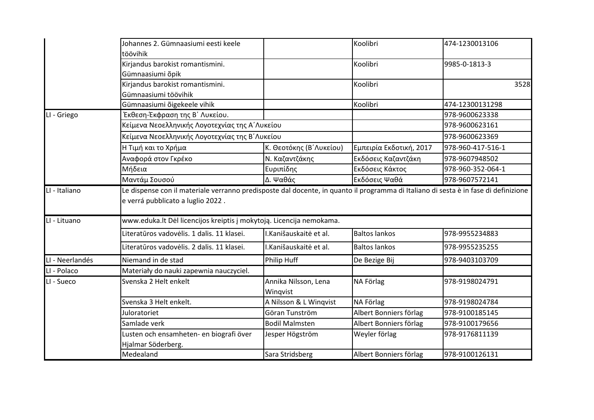|                 | Johannes 2. Gümnaasiumi eesti keele<br>töövihik                      |                                                 | Koolibri                | 474-1230013106    |  |
|-----------------|----------------------------------------------------------------------|-------------------------------------------------|-------------------------|-------------------|--|
|                 | Kirjandus barokist romantismini.<br>Gümnaasiumi õpik                 |                                                 | Koolibri                | 9985-0-1813-3     |  |
|                 | Kirjandus barokist romantismini.<br>Gümnaasiumi töövihik             |                                                 | Koolibri                | 3528              |  |
|                 | Gümnaasiumi õigekeele vihik                                          |                                                 | Koolibri                | 474-12300131298   |  |
| LI - Griego     | Έκθεση-Έκφραση της Β΄ Λυκείου.                                       |                                                 |                         | 978-9600623338    |  |
|                 | Κείμενα Νεοελληνικής Λογοτεχνίας της Α΄ Λυκείου                      |                                                 |                         | 978-9600623161    |  |
|                 |                                                                      | Κείμενα Νεοελληνικής Λογοτεχνίας της Β΄ Λυκείου |                         | 978-9600623369    |  |
|                 | Η Τιμή και το Χρήμα                                                  | Κ. Θεοτόκης (Β'Λυκείου)                         | Εμπειρία Εκδοτική, 2017 | 978-960-417-516-1 |  |
|                 | Αναφορά στον Γκρέκο                                                  | Ν. Καζαντζάκης                                  | Εκδόσεις Καζαντζάκη     | 978-9607948502    |  |
|                 | Μήδεια                                                               | Ευριπίδης                                       | Εκδόσεις Κάκτος         | 978-960-352-064-1 |  |
|                 | Μαντάμ Σουσού                                                        | Δ. Ψαθάς                                        | Εκδόσεις Ψαθά           | 978-9607572141    |  |
| LI - Lituano    | e verrá pubblicato a luglio 2022.                                    |                                                 |                         |                   |  |
|                 | www.eduka.lt Dėl licencijos kreiptis į mokytoją. Licencija nemokama. |                                                 |                         |                   |  |
|                 | Literatūros vadovėlis. 1 dalis. 11 klasei.                           | I.Kanišauskaitė et al.                          | <b>Baltos lankos</b>    | 978-9955234883    |  |
|                 | Literatūros vadovėlis. 2 dalis. 11 klasei.                           | I.Kanišauskaitė et al.                          | <b>Baltos lankos</b>    | 978-9955235255    |  |
| LI - Neerlandés | Niemand in de stad                                                   | <b>Philip Huff</b>                              | De Bezige Bij           | 978-9403103709    |  |
| LI - Polaco     | Materiały do nauki zapewnia nauczyciel.                              |                                                 |                         |                   |  |
| LI - Sueco      | Svenska 2 Helt enkelt                                                | Annika Nilsson, Lena<br>Wingvist                | NA Förlag               | 978-9198024791    |  |
|                 | Svenska 3 Helt enkelt.                                               | A Nilsson & L Winqvist                          | NA Förlag               | 978-9198024784    |  |
|                 | Juloratoriet                                                         | Göran Tunström                                  | Albert Bonniers förlag  | 978-9100185145    |  |
|                 | Samlade verk                                                         | <b>Bodil Malmsten</b>                           | Albert Bonniers förlag  | 978-9100179656    |  |
|                 | Lusten och ensamheten- en biografi över<br>Hjalmar Söderberg.        | Jesper Högström                                 | Weyler förlag           | 978-9176811139    |  |
|                 | Medealand                                                            | Sara Stridsberg                                 | Albert Bonniers förlag  | 978-9100126131    |  |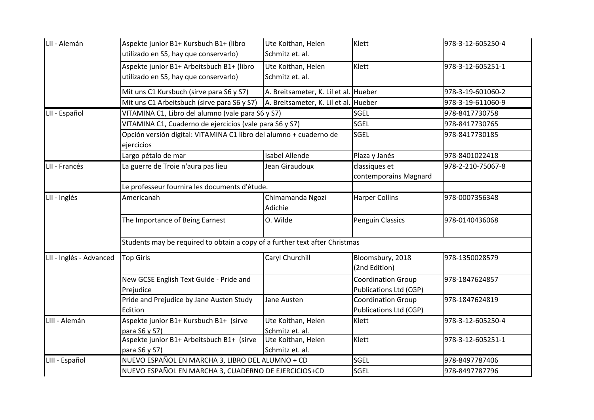| LII - Alemán            | Aspekte junior B1+ Kursbuch B1+ (libro<br>utilizado en S5, hay que conservarlo)    | Ute Koithan, Helen<br>Schmitz et. al. | Klett                                                      | 978-3-12-605250-4 |  |
|-------------------------|------------------------------------------------------------------------------------|---------------------------------------|------------------------------------------------------------|-------------------|--|
|                         | Aspekte junior B1+ Arbeitsbuch B1+ (libro<br>utilizado en S5, hay que conservarlo) | Ute Koithan, Helen<br>Schmitz et. al. | Klett                                                      | 978-3-12-605251-1 |  |
|                         | Mit uns C1 Kursbuch (sirve para S6 y S7)                                           | A. Breitsameter, K. Lil et al. Hueber |                                                            | 978-3-19-601060-2 |  |
|                         | Mit uns C1 Arbeitsbuch (sirve para S6 y S7)                                        | A. Breitsameter, K. Lil et al. Hueber |                                                            | 978-3-19-611060-9 |  |
| LII - Español           | VITAMINA C1, Libro del alumno (vale para S6 y S7)                                  |                                       | SGEL                                                       | 978-8417730758    |  |
|                         | VITAMINA C1, Cuaderno de ejercicios (vale para S6 y S7)                            |                                       | <b>SGEL</b>                                                | 978-8417730765    |  |
|                         | Opción versión digital: VITAMINA C1 libro del alumno + cuaderno de<br>ejercicios   |                                       | <b>SGEL</b>                                                | 978-8417730185    |  |
|                         | Largo pétalo de mar                                                                | <b>Isabel Allende</b>                 | Plaza y Janés                                              | 978-8401022418    |  |
| LII - Francés           | La guerre de Troie n'aura pas lieu                                                 | Jean Giraudoux                        | classiques et<br>contemporains Magnard                     | 978-2-210-75067-8 |  |
|                         | Le professeur fournira les documents d'étude.                                      |                                       |                                                            |                   |  |
| LII - Inglés            | Americanah                                                                         | Chimamanda Ngozi<br>Adichie           | <b>Harper Collins</b>                                      | 978-0007356348    |  |
|                         | The Importance of Being Earnest                                                    | O. Wilde                              | <b>Penguin Classics</b>                                    | 978-0140436068    |  |
|                         | Students may be required to obtain a copy of a further text after Christmas        |                                       |                                                            |                   |  |
| LII - Inglés - Advanced | Top Girls                                                                          | Caryl Churchill                       | Bloomsbury, 2018<br>(2nd Edition)                          | 978-1350028579    |  |
|                         | New GCSE English Text Guide - Pride and<br>Prejudice                               |                                       | <b>Coordination Group</b><br>Publications Ltd (CGP)        | 978-1847624857    |  |
|                         | Pride and Prejudice by Jane Austen Study<br>Edition                                | Jane Austen                           | <b>Coordination Group</b><br><b>Publications Ltd (CGP)</b> | 978-1847624819    |  |
| LIII - Alemán           | Aspekte junior B1+ Kursbuch B1+ (sirve<br>para S6 y S7)                            | Ute Koithan, Helen<br>Schmitz et. al. | Klett                                                      | 978-3-12-605250-4 |  |
|                         | Aspekte junior B1+ Arbeitsbuch B1+ (sirve<br>para S6 y S7)                         | Ute Koithan, Helen<br>Schmitz et. al. | Klett                                                      | 978-3-12-605251-1 |  |
| LIII - Español          | NUEVO ESPAÑOL EN MARCHA 3, LIBRO DEL ALUMNO + CD                                   |                                       | <b>SGEL</b>                                                | 978-8497787406    |  |
|                         | NUEVO ESPAÑOL EN MARCHA 3, CUADERNO DE EJERCICIOS+CD                               |                                       | SGEL                                                       | 978-8497787796    |  |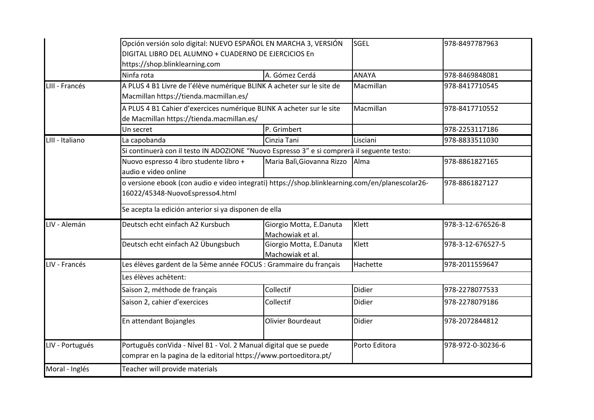|                 | Opción versión solo digital: NUEVO ESPAÑOL EN MARCHA 3, VERSIÓN<br>DIGITAL LIBRO DEL ALUMNO + CUADERNO DE EJERCICIOS En<br>https://shop.blinklearning.com |                                             | SGEL          | 978-8497787963    |  |
|-----------------|-----------------------------------------------------------------------------------------------------------------------------------------------------------|---------------------------------------------|---------------|-------------------|--|
|                 | Ninfa rota                                                                                                                                                | A. Gómez Cerdá                              | <b>ANAYA</b>  | 978-8469848081    |  |
| LIII - Francés  | A PLUS 4 B1 Livre de l'élève numérique BLINK A acheter sur le site de<br>Macmillan https://tienda.macmillan.es/                                           |                                             | Macmillan     | 978-8417710545    |  |
|                 | A PLUS 4 B1 Cahier d'exercices numérique BLINK A acheter sur le site<br>de Macmillan https://tienda.macmillan.es/                                         |                                             | Macmillan     | 978-8417710552    |  |
|                 | Un secret                                                                                                                                                 | P. Grimbert                                 |               | 978-2253117186    |  |
| LIII - Italiano | La capobanda                                                                                                                                              | Cinzia Tani                                 | Lisciani      | 978-8833511030    |  |
|                 | Si continuerà con il testo IN ADOZIONE "Nuovo Espresso 3" e si comprerà il seguente testo:                                                                |                                             |               |                   |  |
|                 | Nuovo espresso 4 ibro studente libro +<br>audio e video online                                                                                            | Maria Balì, Giovanna Rizzo Alma             |               | 978-8861827165    |  |
|                 | o versione ebook (con audio e video integrati) https://shop.blinklearning.com/en/planescolar26-<br>16022/45348-NuovoEspresso4.html                        |                                             |               | 978-8861827127    |  |
|                 | Se acepta la edición anterior si ya disponen de ella                                                                                                      |                                             |               |                   |  |
| LIV - Alemán    | Deutsch echt einfach A2 Kursbuch                                                                                                                          | Giorgio Motta, E.Danuta<br>Machowiak et al. | Klett         | 978-3-12-676526-8 |  |
|                 | Deutsch echt einfach A2 Übungsbuch                                                                                                                        | Giorgio Motta, E.Danuta<br>Machowiak et al. | Klett         | 978-3-12-676527-5 |  |
| LIV - Francés   | Les élèves gardent de la 5ème année FOCUS : Grammaire du français                                                                                         |                                             | Hachette      | 978-2011559647    |  |
|                 | Les élèves achètent:                                                                                                                                      |                                             |               |                   |  |
|                 | Saison 2, méthode de français                                                                                                                             | Collectif                                   | Didier        | 978-2278077533    |  |
|                 | Saison 2, cahier d'exercices                                                                                                                              | Collectif                                   | Didier        | 978-2278079186    |  |
|                 | En attendant Bojangles                                                                                                                                    | <b>Olivier Bourdeaut</b>                    | <b>Didier</b> | 978-2072844812    |  |
| LIV - Portugués | Português conVida - Nível B1 - Vol. 2 Manual digital que se puede<br>comprar en la pagina de la editorial https://www.portoeditora.pt/                    |                                             | Porto Editora | 978-972-0-30236-6 |  |
| Moral - Inglés  | Teacher will provide materials                                                                                                                            |                                             |               |                   |  |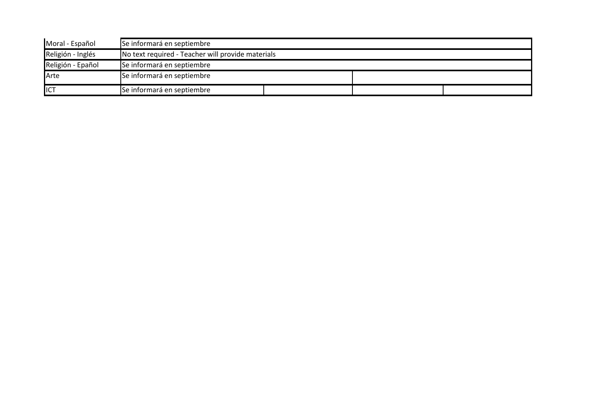| Moral - Español   | Se informará en septiembre                        |  |  |
|-------------------|---------------------------------------------------|--|--|
| Religión - Inglés | No text required - Teacher will provide materials |  |  |
| Religión - Epañol | Se informará en septiembre                        |  |  |
| Arte              | Se informará en septiembre                        |  |  |
| ICT               | Se informará en septiembre                        |  |  |